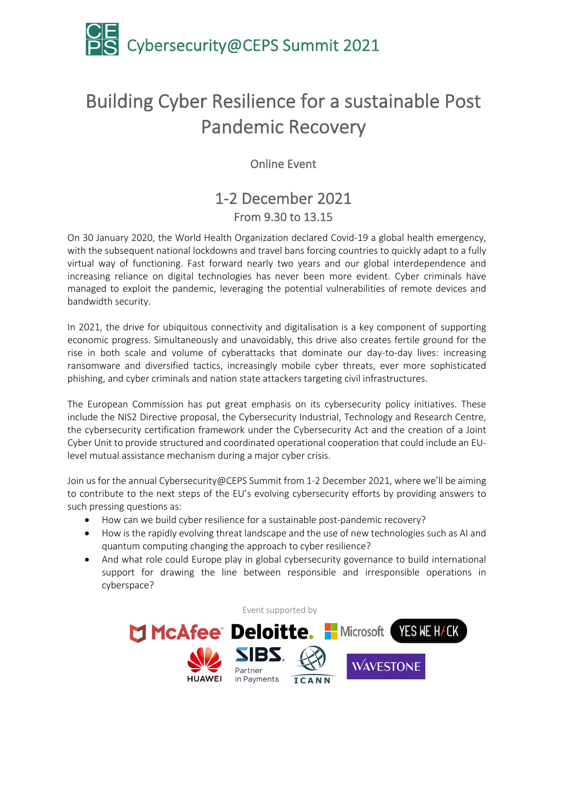

# Building Cyber Resilience for a sustainable Post Pandemic Recovery

Online Event

# 1-2 December 2021 From 9.30 to 13.15

On 30 January 2020, the World Health Organization declared Covid-19 a global health emergency, with the subsequent national lockdowns and travel bans forcing countries to quickly adapt to a fully virtual way of functioning. Fast forward nearly two years and our global interdependence and increasing reliance on digital technologies has never been more evident. Cyber criminals have managed to exploit the pandemic, leveraging the potential vulnerabilities of remote devices and bandwidth security.

In 2021, the drive for ubiquitous connectivity and digitalisation is a key component of supporting economic progress. Simultaneously and unavoidably, this drive also creates fertile ground for the rise in both scale and volume of cyberattacks that dominate our day-to-day lives: increasing ransomware and diversified tactics, increasingly mobile cyber threats, ever more sophisticated phishing, and cyber criminals and nation state attackers targeting civil infrastructures.

The European Commission has put great emphasis on its cybersecurity policy initiatives. These include the NIS2 Directive proposal, the Cybersecurity Industrial, Technology and Research Centre, the cybersecurity certification framework under the Cybersecurity Act and the creation of a Joint Cyber Unit to provide structured and coordinated operational cooperation that could include an EUlevel mutual assistance mechanism during a major cyber crisis.

Join us for the annual Cybersecurity@CEPS Summit from 1-2 December 2021, where we'll be aiming to contribute to the next steps of the EU's evolving cybersecurity efforts by providing answers to such pressing questions as:

- How can we build cyber resilience for a sustainable post-pandemic recovery?
- How is the rapidly evolving threat landscape and the use of new technologies such as AI and quantum computing changing the approach to cyber resilience?
- And what role could Europe play in global cybersecurity governance to build international support for drawing the line between responsible and irresponsible operations in cyberspace?

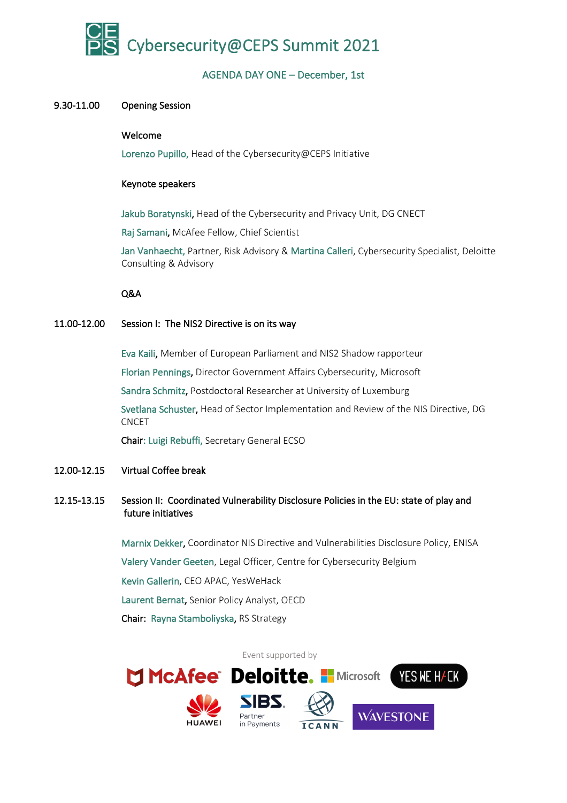

# AGENDA DAY ONE – December, 1st

# 9.30-11.00 Opening Session

#### Welcome

Lorenzo Pupillo, Head of the Cybersecurity@CEPS Initiative

#### Keynote speakers

Jakub Boratynski, Head of the Cybersecurity and Privacy Unit, DG CNECT

Raj Samani, McAfee Fellow, Chief Scientist

Jan Vanhaecht, Partner, Risk Advisory & Martina Calleri, Cybersecurity Specialist, Deloitte Consulting & Advisory

## Q&A

# 11.00-12.00 Session I: The NIS2 Directive is on its way

Eva Kaili, Member of European Parliament and NIS2 Shadow rapporteur

Florian Pennings, Director Government Affairs Cybersecurity, Microsoft

Sandra Schmitz, Postdoctoral Researcher at University of Luxemburg

 Svetlana Schuster, Head of Sector Implementation and Review of the NIS Directive, DG CNCET

Chair: Luigi Rebuffi, Secretary General ECSO

# 12.00-12.15 Virtual Coffee break

# 12.15-13.15 Session II: Coordinated Vulnerability Disclosure Policies in the EU: state of play and future initiatives

 Marnix Dekker, Coordinator NIS Directive and Vulnerabilities Disclosure Policy, ENISA Valery Vander Geeten, Legal Officer, Centre for Cybersecurity Belgium Kevin Gallerin, CEO APAC, YesWeHack Laurent Bernat, Senior Policy Analyst, OECD Chair: Rayna Stamboliyska, RS Strategy

Event supported by MCAfee Deloitte. I Microsoft YES NE H/CK **SIBS WAVESTONE** Partner in Payments